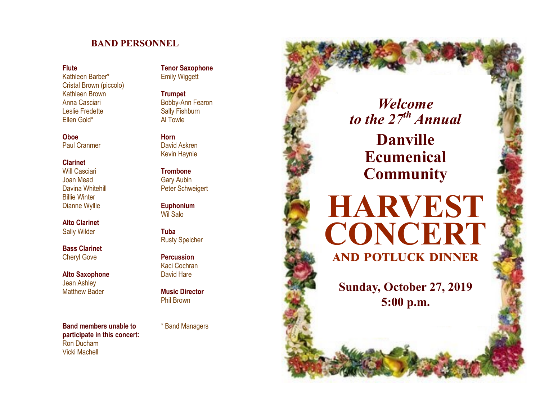# **BAND PERSONNEL**

#### **Flute**

Kathleen Barber\* Cristal Brown (piccolo) Kathleen Brown Anna Casciari Leslie Fredette Ellen Gold\*

**Oboe** Paul Cranmer

#### **Clarinet**

Will Casciari Joan Mead Davina Whitehill Billie Winter Dianne Wyllie

**Alto Clarinet** Sally Wilder

**Bass Clarinet** Cheryl Gove

**Alto Saxophone** Jean Ashley Matthew Bader

**Band members unable to** \* Band Managers **participate in this concert:** Ron Ducham Vicki Machell

**Tenor Saxophone** Emily Wiggett

**Trumpet** Bobby -Ann Fearon Sally Fishburn Al Towle

**Horn** David Askren Kevin Haynie

**Trombone** Gary Aubin Peter Schweigert

**Euphonium** Wil Salo

**Tuba** Rusty Speicher

**Percussion** Kaci Cochran David Hare

**Music Director** Phil Brown

*Welcome to the 27th Annual* **Danville Ecumenical Community**

**HARVEST** 

**CONCERT**

**and potluck dinner**

**Sunday, October 27, 2019**

**5:00 p.m.**